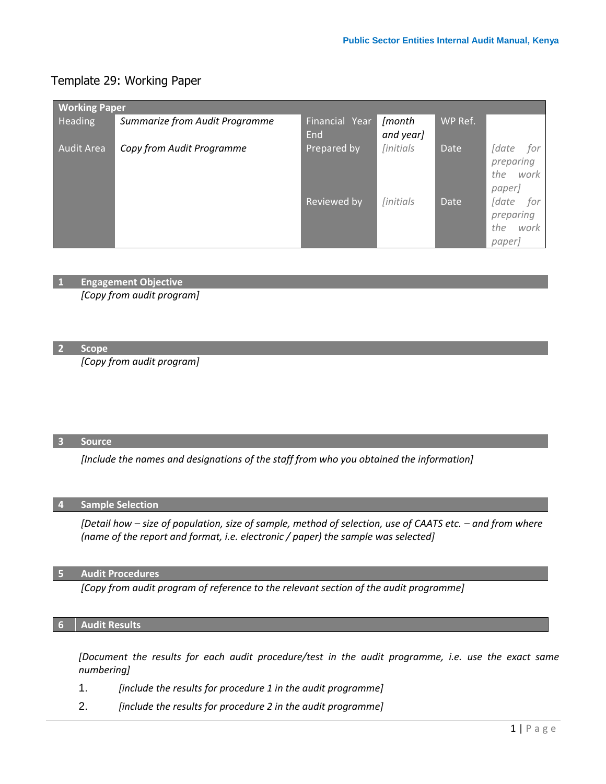# Template 29: Working Paper

| <b>Working Paper</b> |                                |                       |                                 |             |                                                                         |  |  |  |  |
|----------------------|--------------------------------|-----------------------|---------------------------------|-------------|-------------------------------------------------------------------------|--|--|--|--|
| Heading              | Summarize from Audit Programme | Financial Year<br>End | [month<br>and year]             | WP Ref.     |                                                                         |  |  |  |  |
| <b>Audit Area</b>    | Copy from Audit Programme      | Prepared by           | <i><u><b>[initials]</b></u></i> | Date        | <i><u><b>Sdate</b></u></i><br>for<br>preparing<br>the<br>work<br>paper] |  |  |  |  |
|                      |                                | Reviewed by           | <i><u><b>[initials]</b></u></i> | <b>Date</b> | <i><u><b>Sdate</b></u></i><br>for<br>preparing<br>the<br>work<br>paper] |  |  |  |  |

**1 Engagement Objective**

*[Copy from audit program]*

**2 Scope**

*[Copy from audit program]*

### **3 Source**

*[Include the names and designations of the staff from who you obtained the information]*

### **4 Sample Selection**

*[Detail how – size of population, size of sample, method of selection, use of CAATS etc. – and from where (name of the report and format, i.e. electronic / paper) the sample was selected]*

## **5 Audit Procedures**

*[Copy from audit program of reference to the relevant section of the audit programme]*

## **6 Audit Results**

*[Document the results for each audit procedure/test in the audit programme, i.e. use the exact same numbering]*

- 1. *[include the results for procedure 1 in the audit programme]*
- 2. *[include the results for procedure 2 in the audit programme]*